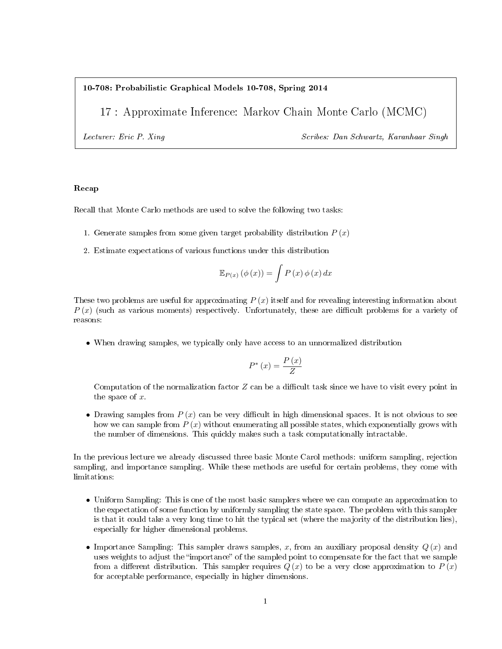### 10-708: Probabilistic Graphical Models 10-708, Spring 2014

17 : Approximate Inference: Markov Chain Monte Carlo (MCMC)

Lecturer: Eric P. Xing Scribes: Dan Schwartz, Karanhaar Singh

# Recap

Recall that Monte Carlo methods are used to solve the following two tasks:

- 1. Generate samples from some given target probability distribution  $P(x)$
- 2. Estimate expectations of various functions under this distribution

$$
\mathbb{E}_{P(x)}(\phi(x)) = \int P(x)\phi(x) dx
$$

These two problems are useful for approximating  $P(x)$  itself and for revealing interesting information about  $P(x)$  (such as various moments) respectively. Unfortunately, these are difficult problems for a variety of reasons:

• When drawing samples, we typically only have access to an unnormalized distribution

$$
P^*\left(x\right) = \frac{P\left(x\right)}{Z}
$$

Computation of the normalization factor  $Z$  can be a difficult task since we have to visit every point in the space of x.

• Drawing samples from  $P(x)$  can be very difficult in high dimensional spaces. It is not obvious to see how we can sample from  $P(x)$  without enumerating all possible states, which exponentially grows with the number of dimensions. This quickly makes such a task computationally intractable.

In the previous lecture we already discussed three basic Monte Carol methods: uniform sampling, rejection sampling, and importance sampling. While these methods are useful for certain problems, they come with limitations:

- Uniform Sampling: This is one of the most basic samplers where we can compute an approximation to the expectation of some function by uniformly sampling the state space. The problem with this sampler is that it could take a very long time to hit the typical set (where the majority of the distribution lies), especially for higher dimensional problems.
- Importance Sampling: This sampler draws samples, x, from an auxiliary proposal density  $Q(x)$  and uses weights to adjust the "importance" of the sampled point to compensate for the fact that we sample from a different distribution. This sampler requires  $Q(x)$  to be a very close approximation to  $P(x)$ for acceptable performance, especially in higher dimensions.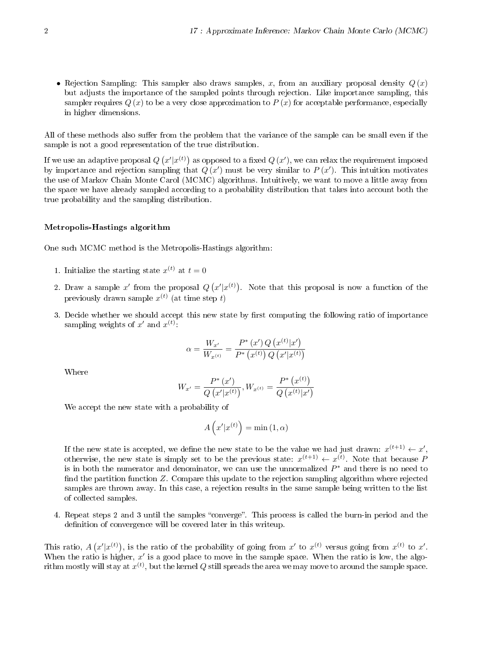• Rejection Sampling: This sampler also draws samples, x, from an auxiliary proposal density  $Q(x)$ but adjusts the importance of the sampled points through rejection. Like importance sampling, this sampler requires  $Q(x)$  to be a very close approximation to  $P(x)$  for acceptable performance, especially in higher dimensions.

All of these methods also suffer from the problem that the variance of the sample can be small even if the sample is not a good representation of the true distribution.

If we use an adaptive proposal  $Q(x'|x^{(t)})$  as opposed to a fixed  $Q(x')$ , we can relax the requirement imposed by importance and rejection sampling that  $Q(x')$  must be very similar to  $P(x')$ . This intuition motivates the use of Markov Chain Monte Carol (MCMC) algorithms. Intuitively, we want to move a little away from the space we have already sampled according to a probability distribution that takes into account both the true probability and the sampling distribution.

### Metropolis-Hastings algorithm

One such MCMC method is the Metropolis-Hastings algorithm:

- 1. Initialize the starting state  $x^{(t)}$  at  $t = 0$
- 2. Draw a sample  $x'$  from the proposal  $Q(x'|x^{(t)})$ . Note that this proposal is now a function of the previously drawn sample  $x^{(t)}$  (at time step  $t$ )
- 3. Decide whether we should accept this new state by first computing the following ratio of importance sampling weights of  $x'$  and  $x^{(t)}$ :

$$
\alpha = \frac{W_{x'}}{W_{x^{(t)}}} = \frac{P^*\left(x'\right)Q\left(x^{(t)}|x'\right)}{P^*\left(x^{(t)}\right)Q\left(x'|x^{(t)}\right)}
$$

Where

$$
W_{x'} = \frac{P^* (x')}{Q (x' | x^{(t)})}, W_{x^{(t)}} = \frac{P^* (x^{(t)})}{Q (x^{(t)} | x')}
$$

We accept the new state with a probability of

$$
A\left(x'|x^{(t)}\right) = \min\left(1, \alpha\right)
$$

If the new state is accepted, we define the new state to be the value we had just drawn:  $x^{(t+1)} \leftarrow x'$ , otherwise, the new state is simply set to be the previous state:  $x^{(t+1)} \leftarrow x^{(t)}$ . Note that because P is in both the numerator and denominator, we can use the unnormalized  $P^*$  and there is no need to find the partition function  $Z$ . Compare this update to the rejection sampling algorithm where rejected samples are thrown away. In this case, a rejection results in the same sample being written to the list of collected samples.

4. Repeat steps 2 and 3 until the samples "converge". This process is called the burn-in period and the definition of convergence will be covered later in this writeup.

This ratio,  $A(x'|x^{(t)})$ , is the ratio of the probability of going from  $x'$  to  $x^{(t)}$  versus going from  $x^{(t)}$  to  $x'$ . When the ratio is higher,  $x'$  is a good place to move in the sample space. When the ratio is low, the algorithm mostly will stay at  $x^{(t)},$  but the kernel  $Q$  still spreads the area we may move to around the sample space.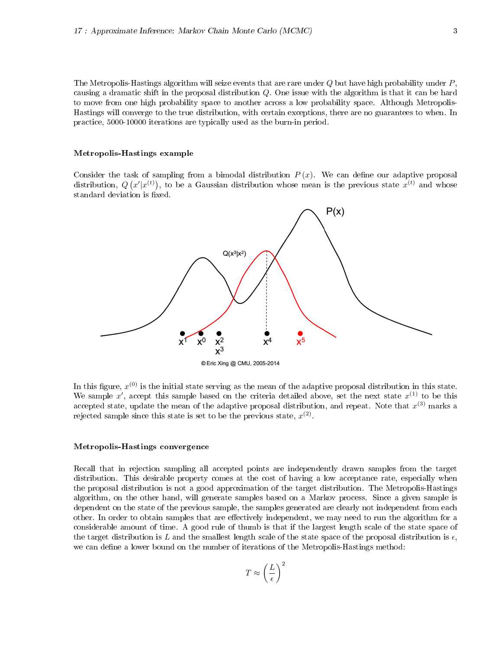The Metropolis-Hastings algorithm will seize events that are rare under  $Q$  but have high probability under  $P$ , causing a dramatic shift in the proposal distribution Q. One issue with the algorithm is that it can be hard to move from one high probability space to another across a low probability space. Although Metropolis-Hastings will converge to the true distribution, with certain exceptions, there are no guarantees to when. In practice, 5000-10000 iterations are typically used as the burn-in period.

#### Metropolis-Hastings example

Consider the task of sampling from a bimodal distribution  $P(x)$ . We can define our adaptive proposal distribution,  $Q(x'|x^{(t)})$ , to be a Gaussian distribution whose mean is the previous state  $x^{(t)}$  and whose standard deviation is fixed.



In this figure,  $x^{(0)}$  is the initial state serving as the mean of the adaptive proposal distribution in this state. We sample x', accept this sample based on the criteria detailed above, set the next state  $x^{(1)}$  to be this accepted state, update the mean of the adaptive proposal distribution, and repeat. Note that  $x^{(3)}$  marks a rejected sample since this state is set to be the previous state,  $x^{(2)}$ .

### Metropolis-Hastings convergence

Recall that in rejection sampling all accepted points are independently drawn samples from the target distribution. This desirable property comes at the cost of having a low acceptance rate, especially when the proposal distribution is not a good approximation of the target distribution. The Metropolis-Hastings algorithm, on the other hand, will generate samples based on a Markov process. Since a given sample is dependent on the state of the previous sample, the samples generated are clearly not independent from each other. In order to obtain samples that are effectively independent, we may need to run the algorithm for a considerable amount of time. A good rule of thumb is that if the largest length scale of the state space of the target distribution is L and the smallest length scale of the state space of the proposal distribution is  $\epsilon$ , we can define a lower bound on the number of iterations of the Metropolis-Hastings method:

$$
T \approx \left(\frac{L}{\epsilon}\right)^2
$$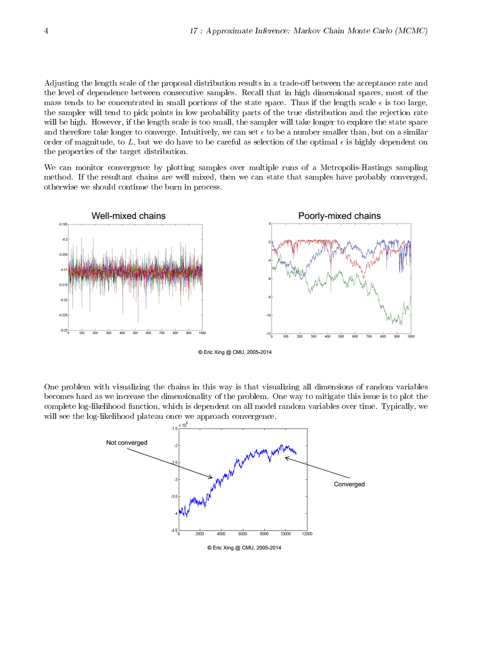Adjusting the length scale of the proposal distribution results in a trade-off between the acceptance rate and the level of dependence between consecutive samples. Recall that in high dimensional spaces, most of the mass tends to be concentrated in small portions of the state space. Thus if the length scale  $\epsilon$  is too large, the sampler will tend to pick points in low probability parts of the true distribution and the rejection rate will be high. However, if the length scale is too small, the sampler will take longer to explore the state space and therefore take longer to converge. Intuitively, we can set  $\epsilon$  to be a number smaller than, but on a similar order of magnitude, to  $L$ , but we do have to be careful as selection of the optimal  $\epsilon$  is highly dependent on the properties of the target distribution.

We can monitor convergence by plotting samples over multiple runs of a Metropolis-Hastings sampling method. If the resultant chains are well mixed, then we can state that samples have probably converged, otherwise we should continue the burn in process.



© Eric Xing @ CMU, 2005-2014

One problem with visualizing the chains in this way is that visualizing all dimensions of random variables becomes hard as we increase the dimensionality of the problem. One way to mitigate this issue is to plot the complete log-likelihood function, which is dependent on all model random variables over time. Typically, we will see the log-likelihood plateau once we approach convergence.



© Eric Xing @ CMU, 2005-2014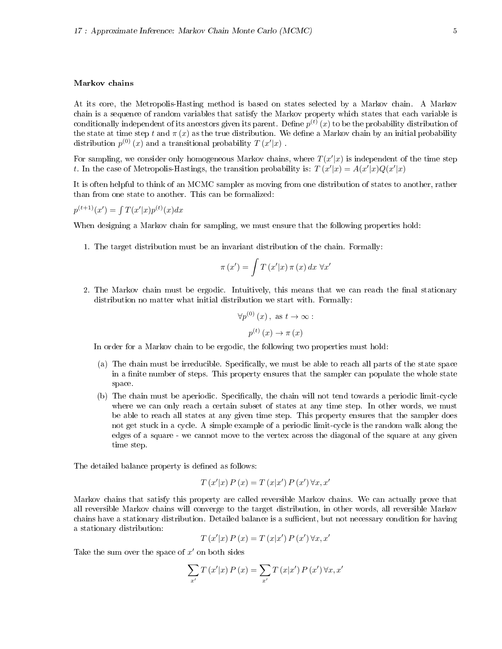### Markov chains

At its core, the Metropolis-Hasting method is based on states selected by a Markov chain. A Markov chain is a sequence of random variables that satisfy the Markov property which states that each variable is conditionally independent of its ancestors given its parent. Define  $p^{(t)}\left(x\right)$  to be the probability distribution of the state at time step t and  $\pi(x)$  as the true distribution. We define a Markov chain by an initial probability distribution  $p^{(0)}(x)$  and a transitional probability  $T(x'|x)$ .

For sampling, we consider only homogeneous Markov chains, where  $T(x'|x)$  is independent of the time step t. In the case of Metropolis-Hastings, the transition probability is:  $T(x'|x) = A(x'|x)Q(x'|x)$ 

It is often helpful to think of an MCMC sampler as moving from one distribution of states to another, rather than from one state to another. This can be formalized:

$$
p^{(t+1)}(x') = \int T(x'|x)p^{(t)}(x)dx
$$

When designing a Markov chain for sampling, we must ensure that the following properties hold:

1. The target distribution must be an invariant distribution of the chain. Formally:

$$
\pi(x') = \int T(x'|x) \pi(x) dx \,\forall x'
$$

2. The Markov chain must be ergodic. Intuitively, this means that we can reach the final stationary distribution no matter what initial distribution we start with. Formally:

$$
\forall p^{(0)}(x), \text{ as } t \to \infty:
$$

$$
p^{(t)}(x) \to \pi(x)
$$

In order for a Markov chain to be ergodic, the following two properties must hold:

- (a) The chain must be irreducible. Specifically, we must be able to reach all parts of the state space in a finite number of steps. This property ensures that the sampler can populate the whole state space.
- (b) The chain must be aperiodic. Specifically, the chain will not tend towards a periodic limit-cycle where we can only reach a certain subset of states at any time step. In other words, we must be able to reach all states at any given time step. This property ensures that the sampler does not get stuck in a cycle. A simple example of a periodic limit-cycle is the random walk along the edges of a square - we cannot move to the vertex across the diagonal of the square at any given time step.

The detailed balance property is defined as follows:

$$
T(x'|x) P(x) = T(x|x') P(x') \forall x, x'
$$

Markov chains that satisfy this property are called reversible Markov chains. We can actually prove that all reversible Markov chains will converge to the target distribution, in other words, all reversible Markov chains have a stationary distribution. Detailed balance is a sufficient, but not necessary condition for having a stationary distribution:

$$
T(x'|x) P(x) = T(x|x') P(x') \forall x, x'
$$

Take the sum over the space of  $x'$  on both sides

$$
\sum_{x'} T(x'|x) P(x) = \sum_{x'} T(x|x') P(x') \forall x, x'
$$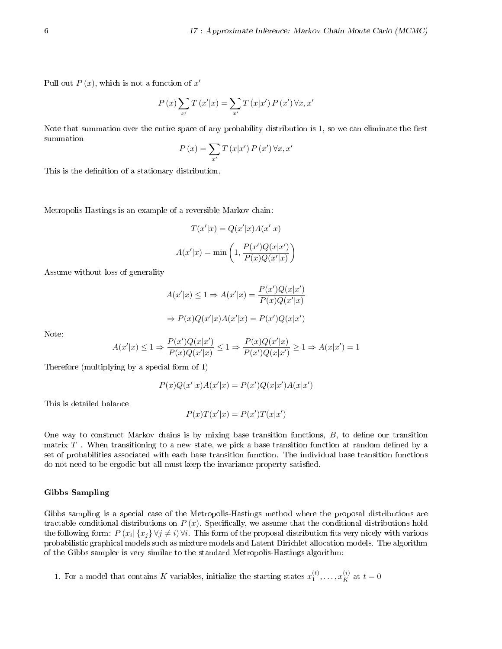Pull out  $P(x)$ , which is not a function of  $x'$ 

$$
P(x) \sum_{x'} T(x'|x) = \sum_{x'} T(x|x') P(x') \forall x, x'
$$

Note that summation over the entire space of any probability distribution is 1, so we can eliminate the first summation

$$
P(x) = \sum_{x'} T(x|x') P(x') \forall x, x'
$$

This is the definition of a stationary distribution.

Metropolis-Hastings is an example of a reversible Markov chain:

$$
T(x'|x) = Q(x'|x)A(x'|x)
$$

$$
A(x'|x) = \min\left(1, \frac{P(x')Q(x|x')}{P(x)Q(x'|x)}\right)
$$

Assume without loss of generality

$$
A(x'|x) \le 1 \Rightarrow A(x'|x) = \frac{P(x')Q(x|x')}{P(x)Q(x'|x)}
$$

$$
\Rightarrow P(x)Q(x'|x)A(x'|x) = P(x')Q(x|x')
$$

Note:

$$
A(x'|x) \leq 1 \Rightarrow \frac{P(x')Q(x|x')}{P(x)Q(x'|x)} \leq 1 \Rightarrow \frac{P(x)Q(x'|x)}{P(x')Q(x|x')} \geq 1 \Rightarrow A(x|x') = 1
$$

Therefore (multiplying by a special form of 1)

$$
P(x)Q(x'|x)A(x'|x) = P(x')Q(x|x')A(x|x')
$$

This is detailed balance

$$
P(x)T(x'|x) = P(x')T(x|x')
$$

One way to construct Markov chains is by mixing base transition functions,  $B$ , to define our transition matrix  $T$  . When transitioning to a new state, we pick a base transition function at random defined by a set of probabilities associated with each base transition function. The individual base transition functions do not need to be ergodic but all must keep the invariance property satisfied.

#### Gibbs Sampling

Gibbs sampling is a special case of the Metropolis-Hastings method where the proposal distributions are tractable conditional distributions on  $P(x)$ . Specifically, we assume that the conditional distributions hold the following form:  $P(x_i|\{x_j\} \forall j \neq i)$   $\forall i$ . This form of the proposal distribution fits very nicely with various probabilistic graphical models such as mixture models and Latent Dirichlet allocation models. The algorithm of the Gibbs sampler is very similar to the standard Metropolis-Hastings algorithm:

1. For a model that contains K variables, initialize the starting states  $x_1^{(t)}, \ldots, x_K^{(i)}$  at  $t = 0$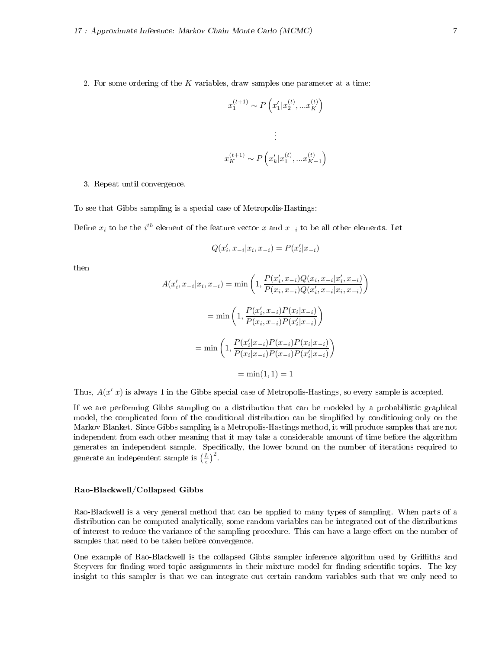2. For some ordering of the  $K$  variables, draw samples one parameter at a time:

$$
x_1^{(t+1)} \sim P\left(x_1'|x_2^{(t)},...x_K^{(t)}\right)
$$
  

$$
\vdots
$$
  

$$
x_K^{(t+1)} \sim P\left(x_k'|x_1^{(t)},...x_{K-1}^{(t)}\right)
$$

3. Repeat until convergence.

To see that Gibbs sampling is a special case of Metropolis-Hastings:

Define  $x_i$  to be the  $i^{th}$  element of the feature vector  $x$  and  $x_{-i}$  to be all other elements. Let

$$
Q(x_i^\prime,x_{-i}|x_i,x_{-i})=P(x_i^\prime|x_{-i})
$$

then

$$
A(x'_i, x_{-i}|x_i, x_{-i}) = \min\left(1, \frac{P(x'_i, x_{-i})Q(x_i, x_{-i}|x'_i, x_{-i})}{P(x_i, x_{-i})Q(x'_i, x_{-i}|x_i, x_{-i})}\right)
$$

$$
= \min\left(1, \frac{P(x'_i, x_{-i})P(x_i|x_{-i})}{P(x_i, x_{-i})P(x'_i|x_{-i})}\right)
$$

$$
= \min\left(1, \frac{P(x'_i|x_{-i})P(x_{-i})P(x_i|x_{-i})}{P(x_i|x_{-i})P(x_{-i})P(x'_i|x_{-i})}\right)
$$

$$
= \min(1, 1) = 1
$$

Thus,  $A(x'|x)$  is always 1 in the Gibbs special case of Metropolis-Hastings, so every sample is accepted.

If we are performing Gibbs sampling on a distribution that can be modeled by a probabilistic graphical model, the complicated form of the conditional distribution can be simplified by conditioning only on the Markov Blanket. Since Gibbs sampling is a Metropolis-Hastings method, it will produce samples that are not independent from each other meaning that it may take a considerable amount of time before the algorithm generates an independent sample. Specifically, the lower bound on the number of iterations required to generate an independent sample is  $\left(\frac{L}{\epsilon}\right)^2$ .

### Rao-Blackwell/Collapsed Gibbs

Rao-Blackwell is a very general method that can be applied to many types of sampling. When parts of a distribution can be computed analytically, some random variables can be integrated out of the distributions of interest to reduce the variance of the sampling procedure. This can have a large effect on the number of samples that need to be taken before convergence.

One example of Rao-Blackwell is the collapsed Gibbs sampler inference algorithm used by Griths and Steyvers for finding word-topic assignments in their mixture model for finding scientific topics. The key insight to this sampler is that we can integrate out certain random variables such that we only need to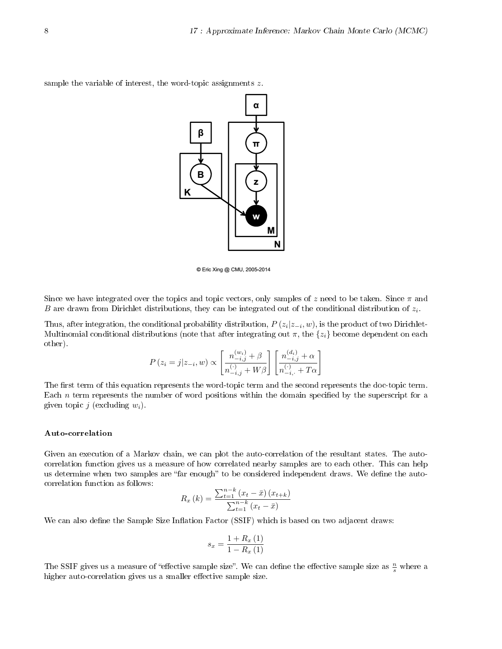

sample the variable of interest, the word-topic assignments z.

© Eric Xing @ CMU, 2005-2014

Since we have integrated over the topics and topic vectors, only samples of z need to be taken. Since  $\pi$  and B are drawn from Dirichlet distributions, they can be integrated out of the conditional distribution of  $z_i$ .

Thus, after integration, the conditional probability distribution,  $P\left(z_i|z_{-i},w\right)$ , is the product of two Dirichlet-Multinomial conditional distributions (note that after integrating out  $\pi$ , the  $\{z_i\}$  become dependent on each other).

$$
P(z_i = j | z_{-i}, w) \propto \left[ \frac{n_{-i,j}^{(w_i)} + \beta}{n_{-i,j}^{(\cdot)} + W\beta} \right] \left[ \frac{n_{-i,j}^{(d_i)} + \alpha}{n_{-i,j}^{(\cdot)} + T\alpha} \right]
$$

The first term of this equation represents the word-topic term and the second represents the doc-topic term. Each  $n$  term represents the number of word positions within the domain specified by the superscript for a given topic j (excluding  $w_i$ ).

### Auto-correlation

Given an execution of a Markov chain, we can plot the auto-correlation of the resultant states. The autocorrelation function gives us a measure of how correlated nearby samples are to each other. This can help us determine when two samples are "far enough" to be considered independent draws. We define the autocorrelation function as follows:

$$
R_x (k) = \frac{\sum_{t=1}^{n-k} (x_t - \bar{x}) (x_{t+k})}{\sum_{t=1}^{n-k} (x_t - \bar{x})}
$$

We can also define the Sample Size Inflation Factor (SSIF) which is based on two adjacent draws:

$$
s_x = \frac{1 + R_x(1)}{1 - R_x(1)}
$$

The SSIF gives us a measure of "effective sample size". We can define the effective sample size as  $\frac{n}{s}$  where a higher auto-correlation gives us a smaller effective sample size.